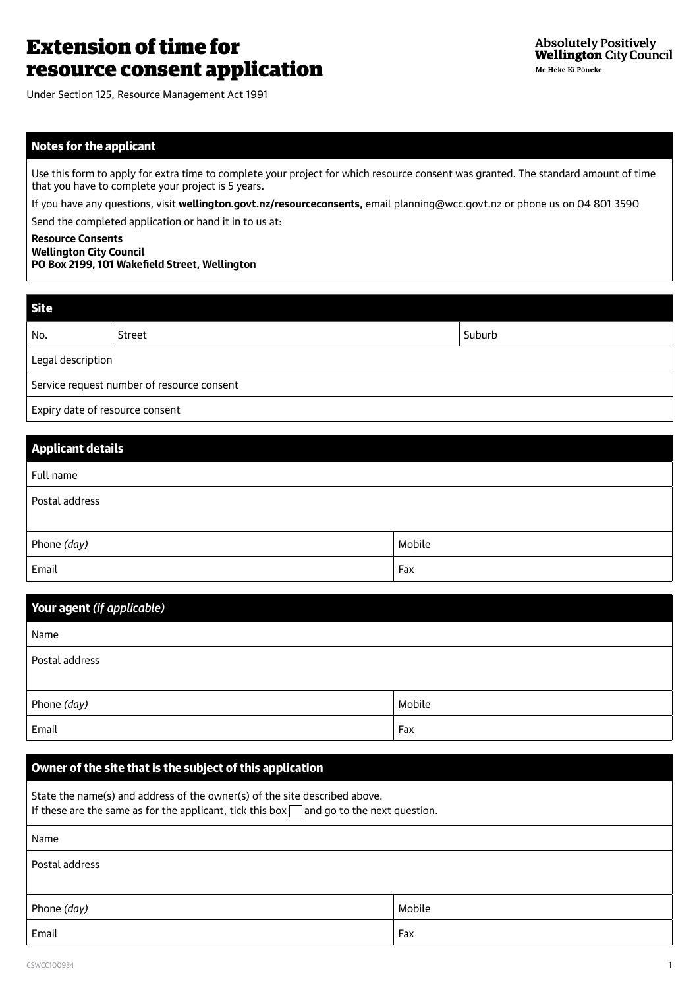# Extension of time for resource consent application

Under Section 125, Resource Management Act 1991

# Notes for the applicant

Use this form to apply for extra time to complete your project for which resource consent was granted. The standard amount of time that you have to complete your project is 5 years.

If you have any questions, visit **wellington.govt.nz/resourceconsents**, email planning@wcc.govt.nz or phone us on 04 801 3590

Send the completed application or hand it in to us at:

#### **Resource Consents Wellington City Council PO Box 2199, 101 Wakefield Street, Wellington**

| <b>Site</b>                                |        |        |
|--------------------------------------------|--------|--------|
| No.                                        | Street | Suburb |
| Legal description                          |        |        |
| Service request number of resource consent |        |        |
| Expiry date of resource consent            |        |        |

| <b>Applicant details</b> |        |
|--------------------------|--------|
| Full name                |        |
| Postal address           |        |
|                          |        |
| Phone (day)              | Mobile |
| Email                    | Fax    |

| Your agent (if applicable) |        |
|----------------------------|--------|
| Name                       |        |
| Postal address             |        |
|                            |        |
| Phone (day)                | Mobile |
| Email                      | Fax    |

# Owner of the site that is the subject of this application

State the name(s) and address of the owner(s) of the site described above. If these are the same as for the applicant, tick this box  $\Box$  and go to the next question. Name Postal address Phone *(day)* Mobile Mobile Mobile Mobile Mobile Mobile Mobile Mobile Mobile Mobile Mobile Mobile Mobile Mobile Mobile Mobile Mobile Mobile Mobile Mobile Mobile Mobile Mobile Mobile Mobile Mobile Mobile Mobile Mobile Mobil Email Fax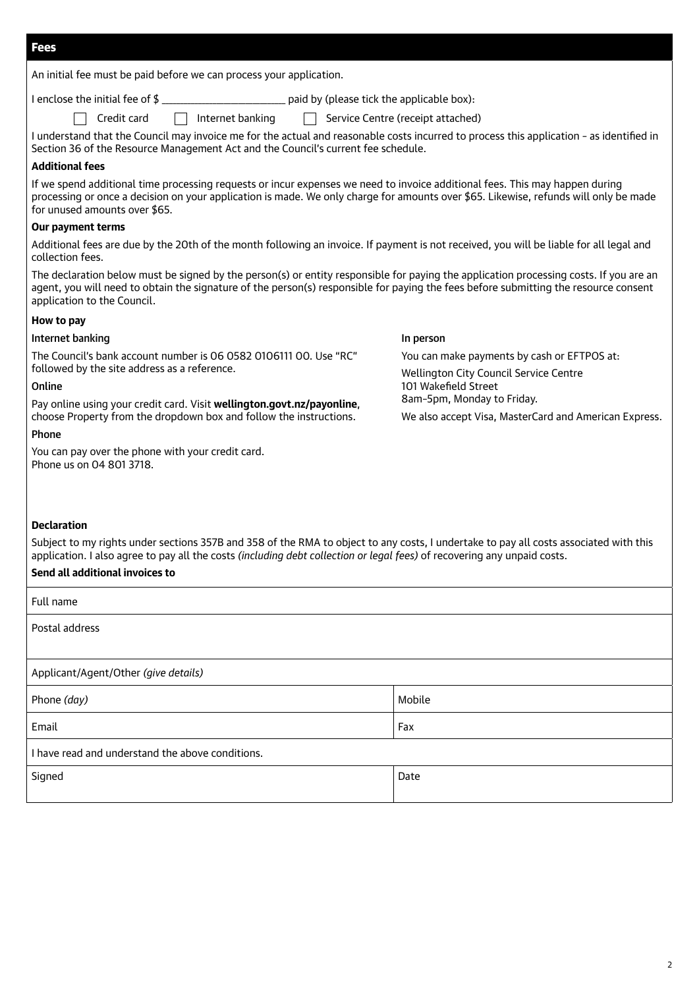An initial fee must be paid before we can process your application.

I enclose the initial fee of \$  $\blacksquare$ 

 $\Box$  Credit card  $\Box$  Internet banking  $\Box$  Service Centre (receipt attached)

| I understand that the Council may invoice me for the actual and reasonable costs incurred to process this application - as identified in |  |
|------------------------------------------------------------------------------------------------------------------------------------------|--|
| Section 36 of the Resource Management Act and the Council's current fee schedule.                                                        |  |

#### **Additional fees**

If we spend additional time processing requests or incur expenses we need to invoice additional fees. This may happen during processing or once a decision on your application is made. We only charge for amounts over \$65. Likewise, refunds will only be made for unused amounts over \$65.

# **Our payment terms**

Additional fees are due by the 20th of the month following an invoice. If payment is not received, you will be liable for all legal and collection fees.

The declaration below must be signed by the person(s) or entity responsible for paying the application processing costs. If you are an agent, you will need to obtain the signature of the person(s) responsible for paying the fees before submitting the resource consent application to the Council.

#### **How to pay**

#### Internet banking

The Council's bank account number is 06 0582 0106111 00. Use "RC" followed by the site address as a reference.

#### Online

Pay online using your credit card. Visit **wellington.govt.nz/payonline**, choose Property from the dropdown box and follow the instructions.

#### Phone

You can pay over the phone with your credit card. Phone us on 04 801 3718.

# In person

You can make payments by cash or EFTPOS at: Wellington City Council Service Centre 101 Wakefield Street 8am–5pm, Monday to Friday.

We also accept Visa, MasterCard and American Express.

# **Declaration**

Subject to my rights under sections 357B and 358 of the RMA to object to any costs, I undertake to pay all costs associated with this application. I also agree to pay all the costs *(including debt collection or legal fees)* of recovering any unpaid costs.

# **Send all additional invoices to**

| Full name                                        |        |  |
|--------------------------------------------------|--------|--|
| Postal address                                   |        |  |
|                                                  |        |  |
| Applicant/Agent/Other (give details)             |        |  |
| Phone (day)                                      | Mobile |  |
| Email                                            | Fax    |  |
| I have read and understand the above conditions. |        |  |
| Signed                                           | Date   |  |
|                                                  |        |  |